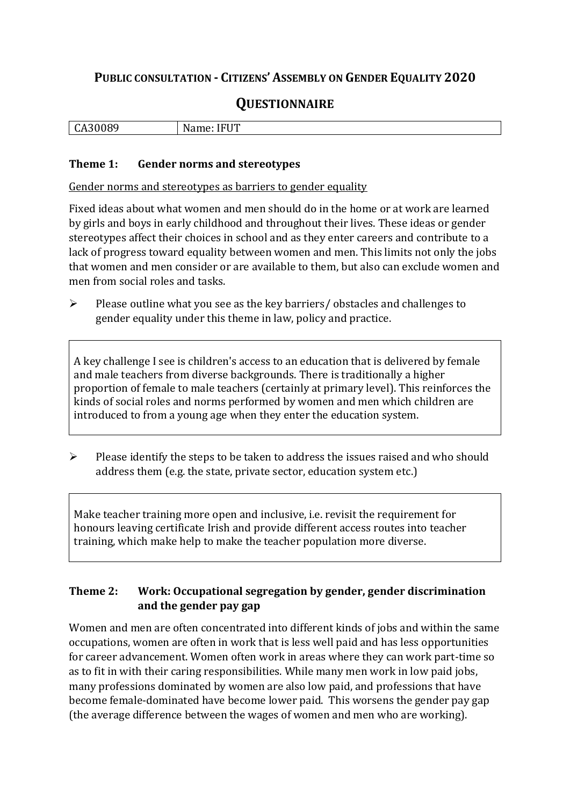# **PUBLIC CONSULTATION - CITIZENS' ASSEMBLY ON GENDER EQUALITY 2020**

# **QUESTIONNAIRE**

| - 1<br>. .<br>-<br>ື້<br>$\ddot{\phantom{0}}$ | ---<br>ıм<br>ັັັ |
|-----------------------------------------------|------------------|
|                                               |                  |

#### **Theme 1: Gender norms and stereotypes**

Gender norms and stereotypes as barriers to gender equality

Fixed ideas about what women and men should do in the home or at work are learned by girls and boys in early childhood and throughout their lives. These ideas or gender stereotypes affect their choices in school and as they enter careers and contribute to a lack of progress toward equality between women and men. This limits not only the jobs that women and men consider or are available to them, but also can exclude women and men from social roles and tasks.

➢ Please outline what you see as the key barriers/ obstacles and challenges to gender equality under this theme in law, policy and practice.

A key challenge I see is children's access to an education that is delivered by female and male teachers from diverse backgrounds. There is traditionally a higher proportion of female to male teachers (certainly at primary level). This reinforces the kinds of social roles and norms performed by women and men which children are introduced to from a young age when they enter the education system.

➢ Please identify the steps to be taken to address the issues raised and who should address them (e.g. the state, private sector, education system etc.)

Make teacher training more open and inclusive, i.e. revisit the requirement for honours leaving certificate Irish and provide different access routes into teacher training, which make help to make the teacher population more diverse.

### **Theme 2: Work: Occupational segregation by gender, gender discrimination and the gender pay gap**

Women and men are often concentrated into different kinds of jobs and within the same occupations, women are often in work that is less well paid and has less opportunities for career advancement. Women often work in areas where they can work part-time so as to fit in with their caring responsibilities. While many men work in low paid jobs, many professions dominated by women are also low paid, and professions that have become female-dominated have become lower paid. This worsens the gender pay gap (the average difference between the wages of women and men who are working).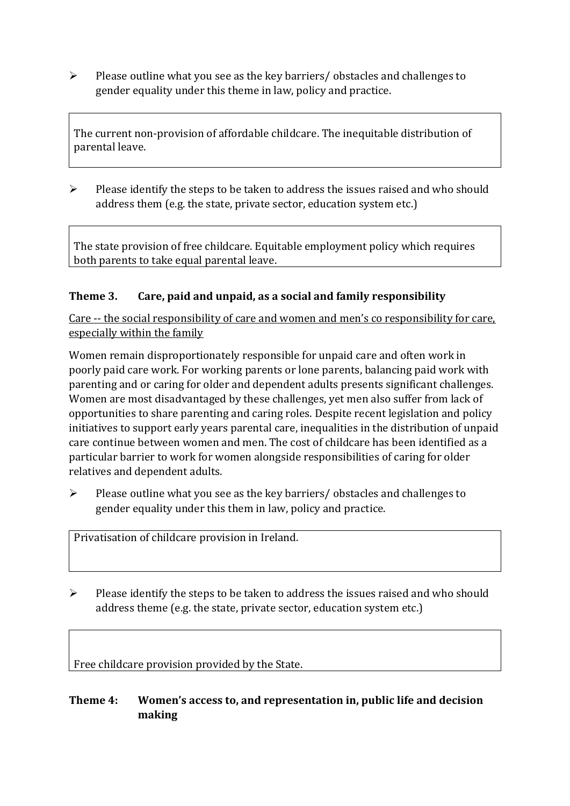➢ Please outline what you see as the key barriers/ obstacles and challenges to gender equality under this theme in law, policy and practice.

The current non-provision of affordable childcare. The inequitable distribution of parental leave.

 $\triangleright$  Please identify the steps to be taken to address the issues raised and who should address them (e.g. the state, private sector, education system etc.)

The state provision of free childcare. Equitable employment policy which requires both parents to take equal parental leave.

# **Theme 3. Care, paid and unpaid, as a social and family responsibility**

Care -- the social responsibility of care and women and men's co responsibility for care, especially within the family

Women remain disproportionately responsible for unpaid care and often work in poorly paid care work. For working parents or [lone parents,](https://aran.library.nuigalway.ie/bitstream/handle/10379/6044/Millar_and_Crosse_Activation_Report.pdf?sequence=1&isAllowed=y) balancing paid work with parenting and or caring for older and dependent adults presents significant challenges. Women are [most disadvantaged by these challenges,](https://eige.europa.eu/gender-equality-index/game/IE/W) yet men also suffer from lack of opportunities to share parenting and caring roles. Despite recent legislation and policy initiatives to support early years parental care, [inequalities in the distribution of unpaid](https://www.ihrec.ie/app/uploads/2019/07/Caring-and-Unpaid-Work-in-Ireland_Final.pdf)  [care](https://www.ihrec.ie/app/uploads/2019/07/Caring-and-Unpaid-Work-in-Ireland_Final.pdf) continue between women and men. The cost of childcare has been identified as a particular barrier to work for women alongside responsibilities of caring for older relatives and dependent adults.

 $\triangleright$  Please outline what you see as the key barriers/ obstacles and challenges to gender equality under this them in law, policy and practice.

Privatisation of childcare provision in Ireland.

 $\triangleright$  Please identify the steps to be taken to address the issues raised and who should address theme (e.g. the state, private sector, education system etc.)

Free childcare provision provided by the State.

#### **Theme 4: Women's access to, and representation in, public life and decision making**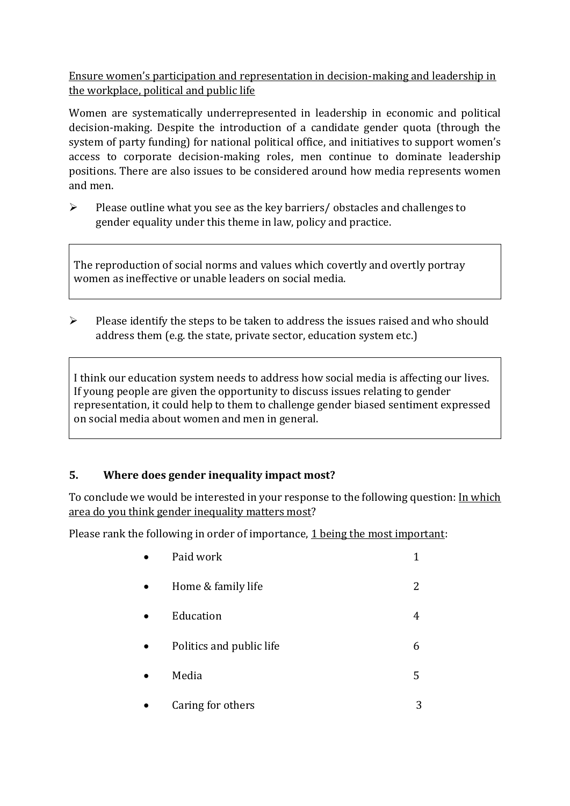Ensure women's participation and representation in decision-making and leadership in the workplace, political and public life

Women are systematically underrepresented in leadership in [economic](https://eige.europa.eu/gender-equality-index/2019/compare-countries/power/2/bar) and [political](https://eige.europa.eu/gender-equality-index/2019/compare-countries/power/1/bar)  [decision-](https://eige.europa.eu/gender-equality-index/2019/compare-countries/power/1/bar)making. Despite the introduction of a candidate gender quota (through the system of party funding) for national political office, and [initiatives](https://betterbalance.ie/) to support women's access to corporate decision-making roles, men continue to dominate leadership positions. There are also issues to be considered around how media represents women and men.

➢ Please outline what you see as the key barriers/ obstacles and challenges to gender equality under this theme in law, policy and practice.

The reproduction of social norms and values which covertly and overtly portray women as ineffective or unable leaders on social media.

 $\triangleright$  Please identify the steps to be taken to address the issues raised and who should address them (e.g. the state, private sector, education system etc.)

I think our education system needs to address how social media is affecting our lives. If young people are given the opportunity to discuss issues relating to gender representation, it could help to them to challenge gender biased sentiment expressed on social media about women and men in general.

# **5. Where does gender inequality impact most?**

To conclude we would be interested in your response to the following question: In which area do you think gender inequality matters most?

Please rank the following in order of importance, 1 being the most important:

| Paid work                |   |
|--------------------------|---|
| Home & family life       | 2 |
| Education                | 4 |
| Politics and public life | 6 |
| Media                    | 5 |
| Caring for others        | 3 |